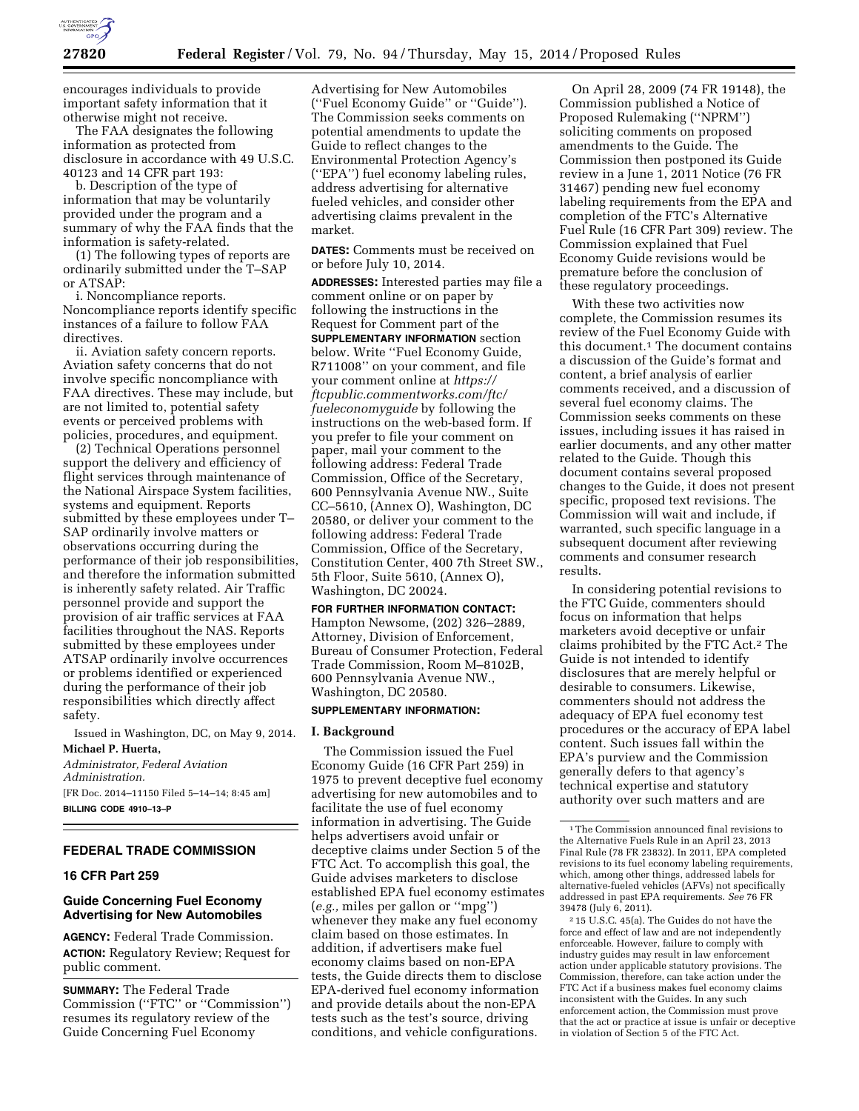

encourages individuals to provide important safety information that it otherwise might not receive.

The FAA designates the following information as protected from disclosure in accordance with 49 U.S.C. 40123 and 14 CFR part 193:

b. Description of the type of information that may be voluntarily provided under the program and a summary of why the FAA finds that the information is safety-related.

(1) The following types of reports are ordinarily submitted under the T–SAP or ATSAP:

i. Noncompliance reports. Noncompliance reports identify specific instances of a failure to follow FAA directives.

ii. Aviation safety concern reports. Aviation safety concerns that do not involve specific noncompliance with FAA directives. These may include, but are not limited to, potential safety events or perceived problems with policies, procedures, and equipment.

(2) Technical Operations personnel support the delivery and efficiency of flight services through maintenance of the National Airspace System facilities, systems and equipment. Reports submitted by these employees under T– SAP ordinarily involve matters or observations occurring during the performance of their job responsibilities, and therefore the information submitted is inherently safety related. Air Traffic personnel provide and support the provision of air traffic services at FAA facilities throughout the NAS. Reports submitted by these employees under ATSAP ordinarily involve occurrences or problems identified or experienced during the performance of their job responsibilities which directly affect safety.

Issued in Washington, DC, on May 9, 2014. **Michael P. Huerta,** 

*Administrator, Federal Aviation Administration.*  [FR Doc. 2014–11150 Filed 5–14–14; 8:45 am] **BILLING CODE 4910–13–P** 

### **FEDERAL TRADE COMMISSION**

#### **16 CFR Part 259**

## **Guide Concerning Fuel Economy Advertising for New Automobiles**

**AGENCY:** Federal Trade Commission. **ACTION:** Regulatory Review; Request for public comment.

**SUMMARY:** The Federal Trade Commission (''FTC'' or ''Commission'') resumes its regulatory review of the Guide Concerning Fuel Economy

Advertising for New Automobiles (''Fuel Economy Guide'' or ''Guide''). The Commission seeks comments on potential amendments to update the Guide to reflect changes to the Environmental Protection Agency's (''EPA'') fuel economy labeling rules, address advertising for alternative fueled vehicles, and consider other advertising claims prevalent in the market.

**DATES:** Comments must be received on or before July 10, 2014.

**ADDRESSES:** Interested parties may file a comment online or on paper by following the instructions in the Request for Comment part of the **SUPPLEMENTARY INFORMATION** section below. Write ''Fuel Economy Guide, R711008'' on your comment, and file your comment online at *[https://](https://ftcpublic.commentworks.com/ftc/fueleconomyguide) [ftcpublic.commentworks.com/ftc/](https://ftcpublic.commentworks.com/ftc/fueleconomyguide) [fueleconomyguide](https://ftcpublic.commentworks.com/ftc/fueleconomyguide)* by following the instructions on the web-based form. If you prefer to file your comment on paper, mail your comment to the following address: Federal Trade Commission, Office of the Secretary, 600 Pennsylvania Avenue NW., Suite CC–5610, (Annex O), Washington, DC 20580, or deliver your comment to the following address: Federal Trade Commission, Office of the Secretary, Constitution Center, 400 7th Street SW., 5th Floor, Suite 5610, (Annex O), Washington, DC 20024.

## **FOR FURTHER INFORMATION CONTACT:**

Hampton Newsome, (202) 326–2889, Attorney, Division of Enforcement, Bureau of Consumer Protection, Federal Trade Commission, Room M–8102B, 600 Pennsylvania Avenue NW., Washington, DC 20580.

### **SUPPLEMENTARY INFORMATION:**

#### **I. Background**

The Commission issued the Fuel Economy Guide (16 CFR Part 259) in 1975 to prevent deceptive fuel economy advertising for new automobiles and to facilitate the use of fuel economy information in advertising. The Guide helps advertisers avoid unfair or deceptive claims under Section 5 of the FTC Act. To accomplish this goal, the Guide advises marketers to disclose established EPA fuel economy estimates (*e.g.,* miles per gallon or ''mpg'') whenever they make any fuel economy claim based on those estimates. In addition, if advertisers make fuel economy claims based on non-EPA tests, the Guide directs them to disclose EPA-derived fuel economy information and provide details about the non-EPA tests such as the test's source, driving conditions, and vehicle configurations.

On April 28, 2009 (74 FR 19148), the Commission published a Notice of Proposed Rulemaking (''NPRM'') soliciting comments on proposed amendments to the Guide. The Commission then postponed its Guide review in a June 1, 2011 Notice (76 FR 31467) pending new fuel economy labeling requirements from the EPA and completion of the FTC's Alternative Fuel Rule (16 CFR Part 309) review. The Commission explained that Fuel Economy Guide revisions would be premature before the conclusion of these regulatory proceedings.

With these two activities now complete, the Commission resumes its review of the Fuel Economy Guide with this document.1 The document contains a discussion of the Guide's format and content, a brief analysis of earlier comments received, and a discussion of several fuel economy claims. The Commission seeks comments on these issues, including issues it has raised in earlier documents, and any other matter related to the Guide. Though this document contains several proposed changes to the Guide, it does not present specific, proposed text revisions. The Commission will wait and include, if warranted, such specific language in a subsequent document after reviewing comments and consumer research results.

In considering potential revisions to the FTC Guide, commenters should focus on information that helps marketers avoid deceptive or unfair claims prohibited by the FTC Act.2 The Guide is not intended to identify disclosures that are merely helpful or desirable to consumers. Likewise, commenters should not address the adequacy of EPA fuel economy test procedures or the accuracy of EPA label content. Such issues fall within the EPA's purview and the Commission generally defers to that agency's technical expertise and statutory authority over such matters and are

2 15 U.S.C. 45(a). The Guides do not have the force and effect of law and are not independently enforceable. However, failure to comply with industry guides may result in law enforcement action under applicable statutory provisions. The Commission, therefore, can take action under the FTC Act if a business makes fuel economy claims inconsistent with the Guides. In any such enforcement action, the Commission must prove that the act or practice at issue is unfair or deceptive in violation of Section 5 of the FTC Act.

<sup>&</sup>lt;sup>1</sup>The Commission announced final revisions to the Alternative Fuels Rule in an April 23, 2013 Final Rule (78 FR 23832). In 2011, EPA completed revisions to its fuel economy labeling requirements, which, among other things, addressed labels for alternative-fueled vehicles (AFVs) not specifically addressed in past EPA requirements. *See* 76 FR 39478 (July 6, 2011).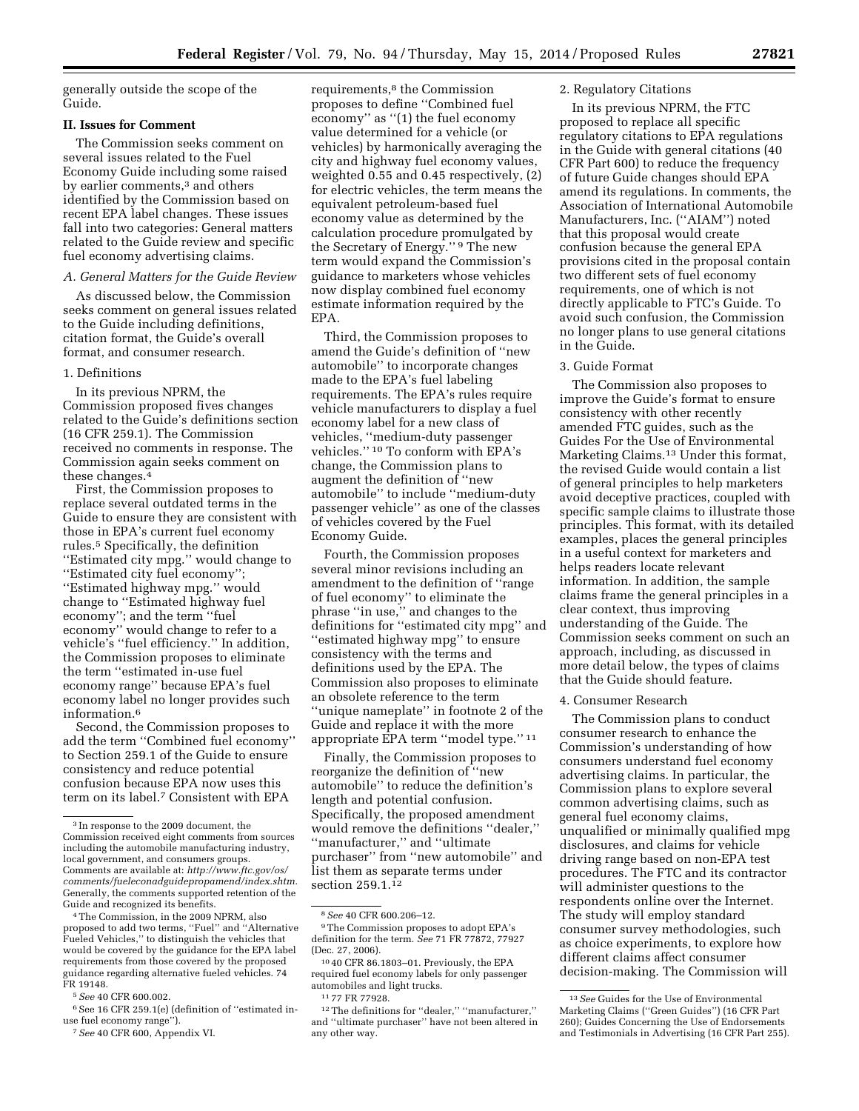generally outside the scope of the Guide.

#### **II. Issues for Comment**

The Commission seeks comment on several issues related to the Fuel Economy Guide including some raised by earlier comments,<sup>3</sup> and others identified by the Commission based on recent EPA label changes. These issues fall into two categories: General matters related to the Guide review and specific fuel economy advertising claims.

## *A. General Matters for the Guide Review*

As discussed below, the Commission seeks comment on general issues related to the Guide including definitions, citation format, the Guide's overall format, and consumer research.

#### 1. Definitions

In its previous NPRM, the Commission proposed fives changes related to the Guide's definitions section (16 CFR 259.1). The Commission received no comments in response. The Commission again seeks comment on these changes.4

First, the Commission proposes to replace several outdated terms in the Guide to ensure they are consistent with those in EPA's current fuel economy rules.5 Specifically, the definition ''Estimated city mpg.'' would change to ''Estimated city fuel economy''; ''Estimated highway mpg.'' would change to ''Estimated highway fuel economy''; and the term ''fuel economy'' would change to refer to a vehicle's ''fuel efficiency.'' In addition, the Commission proposes to eliminate the term ''estimated in-use fuel economy range'' because EPA's fuel economy label no longer provides such information.6

Second, the Commission proposes to add the term ''Combined fuel economy'' to Section 259.1 of the Guide to ensure consistency and reduce potential confusion because EPA now uses this term on its label.7 Consistent with EPA

4The Commission, in the 2009 NPRM, also proposed to add two terms, ''Fuel'' and ''Alternative Fueled Vehicles,'' to distinguish the vehicles that would be covered by the guidance for the EPA label requirements from those covered by the proposed guidance regarding alternative fueled vehicles. 74 FR 19148.

5*See* 40 CFR 600.002.

7*See* 40 CFR 600, Appendix VI.

requirements,<sup>8</sup> the Commission proposes to define ''Combined fuel economy'' as ''(1) the fuel economy value determined for a vehicle (or vehicles) by harmonically averaging the city and highway fuel economy values, weighted 0.55 and 0.45 respectively, (2) for electric vehicles, the term means the equivalent petroleum-based fuel economy value as determined by the calculation procedure promulgated by the Secretary of Energy.'' 9 The new term would expand the Commission's guidance to marketers whose vehicles now display combined fuel economy estimate information required by the EPA.

Third, the Commission proposes to amend the Guide's definition of ''new automobile'' to incorporate changes made to the EPA's fuel labeling requirements. The EPA's rules require vehicle manufacturers to display a fuel economy label for a new class of vehicles, ''medium-duty passenger vehicles.'' 10 To conform with EPA's change, the Commission plans to augment the definition of ''new automobile'' to include ''medium-duty passenger vehicle'' as one of the classes of vehicles covered by the Fuel Economy Guide.

Fourth, the Commission proposes several minor revisions including an amendment to the definition of ''range of fuel economy'' to eliminate the phrase ''in use,'' and changes to the definitions for ''estimated city mpg'' and ''estimated highway mpg'' to ensure consistency with the terms and definitions used by the EPA. The Commission also proposes to eliminate an obsolete reference to the term ''unique nameplate'' in footnote 2 of the Guide and replace it with the more appropriate EPA term ''model type.'' 11

Finally, the Commission proposes to reorganize the definition of ''new automobile'' to reduce the definition's length and potential confusion. Specifically, the proposed amendment would remove the definitions ''dealer,'' ''manufacturer,'' and ''ultimate purchaser'' from ''new automobile'' and list them as separate terms under section 259.1.12

#### 2. Regulatory Citations

In its previous NPRM, the FTC proposed to replace all specific regulatory citations to EPA regulations in the Guide with general citations (40 CFR Part 600) to reduce the frequency of future Guide changes should EPA amend its regulations. In comments, the Association of International Automobile Manufacturers, Inc. (''AIAM'') noted that this proposal would create confusion because the general EPA provisions cited in the proposal contain two different sets of fuel economy requirements, one of which is not directly applicable to FTC's Guide. To avoid such confusion, the Commission no longer plans to use general citations in the Guide.

#### 3. Guide Format

The Commission also proposes to improve the Guide's format to ensure consistency with other recently amended FTC guides, such as the Guides For the Use of Environmental Marketing Claims.13 Under this format, the revised Guide would contain a list of general principles to help marketers avoid deceptive practices, coupled with specific sample claims to illustrate those principles. This format, with its detailed examples, places the general principles in a useful context for marketers and helps readers locate relevant information. In addition, the sample claims frame the general principles in a clear context, thus improving understanding of the Guide. The Commission seeks comment on such an approach, including, as discussed in more detail below, the types of claims that the Guide should feature.

## 4. Consumer Research

The Commission plans to conduct consumer research to enhance the Commission's understanding of how consumers understand fuel economy advertising claims. In particular, the Commission plans to explore several common advertising claims, such as general fuel economy claims, unqualified or minimally qualified mpg disclosures, and claims for vehicle driving range based on non-EPA test procedures. The FTC and its contractor will administer questions to the respondents online over the Internet. The study will employ standard consumer survey methodologies, such as choice experiments, to explore how different claims affect consumer decision-making. The Commission will

<sup>3</sup> In response to the 2009 document, the Commission received eight comments from sources including the automobile manufacturing industry, local government, and consumers groups. Comments are available at: *[http://www.ftc.gov/os/](http://www.ftc.gov/os/comments/fueleconadguidepropamend/index.shtm) [comments/fueleconadguidepropamend/index.shtm.](http://www.ftc.gov/os/comments/fueleconadguidepropamend/index.shtm)*  Generally, the comments supported retention of the Guide and recognized its benefits.

<sup>6</sup>See 16 CFR 259.1(e) (definition of ''estimated inuse fuel economy range'').

<sup>8</sup>*See* 40 CFR 600.206–12.

<sup>9</sup>The Commission proposes to adopt EPA's definition for the term. *See* 71 FR 77872, 77927 (Dec. 27, 2006).

<sup>10</sup> 40 CFR 86.1803–01. Previously, the EPA required fuel economy labels for only passenger automobiles and light trucks.

<sup>11</sup> 77 FR 77928.

<sup>12</sup>The definitions for ''dealer,'' ''manufacturer,'' and ''ultimate purchaser'' have not been altered in any other way.

<sup>13</sup>*See* Guides for the Use of Environmental Marketing Claims (''Green Guides'') (16 CFR Part 260); Guides Concerning the Use of Endorsements and Testimonials in Advertising (16 CFR Part 255).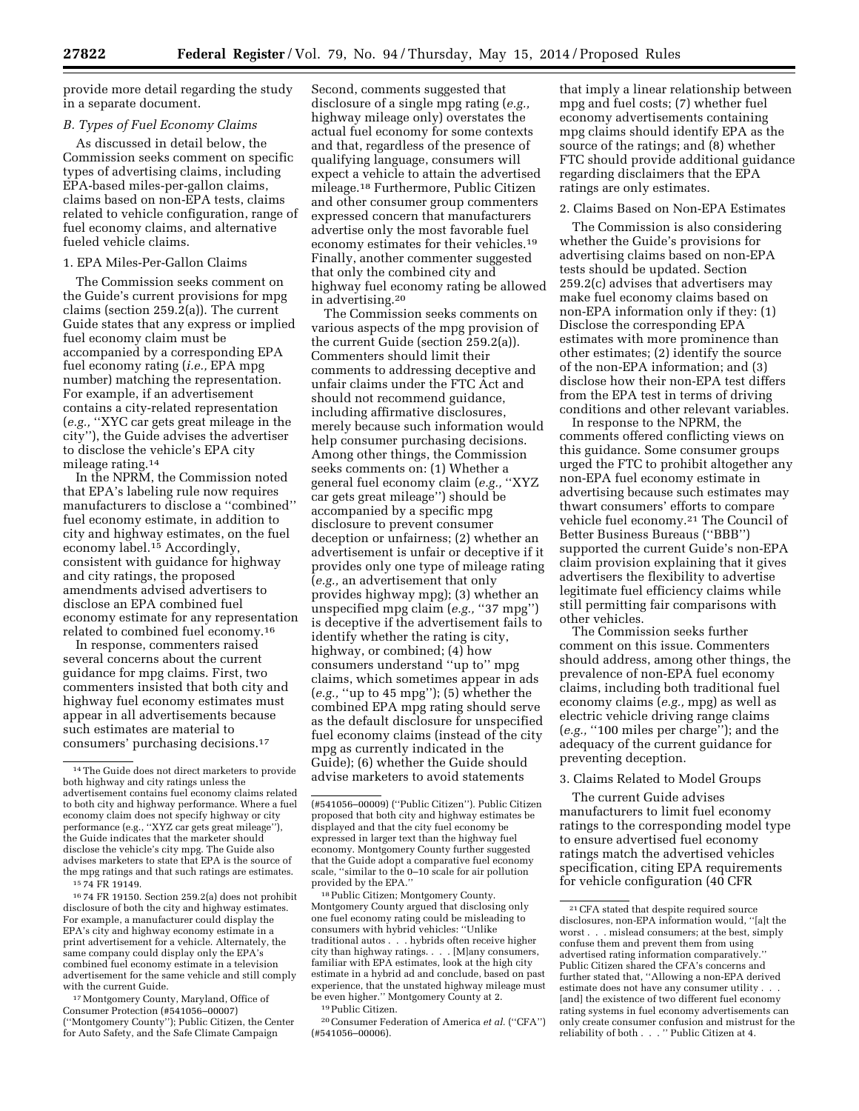provide more detail regarding the study in a separate document.

#### *B. Types of Fuel Economy Claims*

As discussed in detail below, the Commission seeks comment on specific types of advertising claims, including EPA-based miles-per-gallon claims, claims based on non-EPA tests, claims related to vehicle configuration, range of fuel economy claims, and alternative fueled vehicle claims.

# 1. EPA Miles-Per-Gallon Claims

The Commission seeks comment on the Guide's current provisions for mpg claims (section 259.2(a)). The current Guide states that any express or implied fuel economy claim must be accompanied by a corresponding EPA fuel economy rating (*i.e.,* EPA mpg number) matching the representation. For example, if an advertisement contains a city-related representation (*e.g.,* ''XYC car gets great mileage in the city''), the Guide advises the advertiser to disclose the vehicle's EPA city mileage rating.14

In the NPRM, the Commission noted that EPA's labeling rule now requires manufacturers to disclose a ''combined'' fuel economy estimate, in addition to city and highway estimates, on the fuel economy label.15 Accordingly, consistent with guidance for highway and city ratings, the proposed amendments advised advertisers to disclose an EPA combined fuel economy estimate for any representation related to combined fuel economy.16

In response, commenters raised several concerns about the current guidance for mpg claims. First, two commenters insisted that both city and highway fuel economy estimates must appear in all advertisements because such estimates are material to consumers' purchasing decisions.17

15 74 FR 19149.

16 74 FR 19150. Section 259.2(a) does not prohibit disclosure of both the city and highway estimates. For example, a manufacturer could display the EPA's city and highway economy estimate in a print advertisement for a vehicle. Alternately, the same company could display only the EPA's combined fuel economy estimate in a television advertisement for the same vehicle and still comply with the current Guide.

17Montgomery County, Maryland, Office of Consumer Protection (#541056–00007) (''Montgomery County''); Public Citizen, the Center for Auto Safety, and the Safe Climate Campaign

Second, comments suggested that disclosure of a single mpg rating (*e.g.,*  highway mileage only) overstates the actual fuel economy for some contexts and that, regardless of the presence of qualifying language, consumers will expect a vehicle to attain the advertised mileage.18 Furthermore, Public Citizen and other consumer group commenters expressed concern that manufacturers advertise only the most favorable fuel economy estimates for their vehicles.19 Finally, another commenter suggested that only the combined city and highway fuel economy rating be allowed in advertising.20

The Commission seeks comments on various aspects of the mpg provision of the current Guide (section 259.2(a)). Commenters should limit their comments to addressing deceptive and unfair claims under the FTC Act and should not recommend guidance, including affirmative disclosures, merely because such information would help consumer purchasing decisions. Among other things, the Commission seeks comments on: (1) Whether a general fuel economy claim (*e.g.,* ''XYZ car gets great mileage'') should be accompanied by a specific mpg disclosure to prevent consumer deception or unfairness; (2) whether an advertisement is unfair or deceptive if it provides only one type of mileage rating (*e.g.,* an advertisement that only provides highway mpg); (3) whether an unspecified mpg claim (*e.g.,* ''37 mpg'') is deceptive if the advertisement fails to identify whether the rating is city, highway, or combined; (4) how consumers understand ''up to'' mpg claims, which sometimes appear in ads (*e.g.,* ''up to 45 mpg''); (5) whether the combined EPA mpg rating should serve as the default disclosure for unspecified fuel economy claims (instead of the city mpg as currently indicated in the Guide); (6) whether the Guide should advise marketers to avoid statements

18Public Citizen; Montgomery County. Montgomery County argued that disclosing only one fuel economy rating could be misleading to consumers with hybrid vehicles: ''Unlike traditional autos . . . hybrids often receive higher city than highway ratings. . . . [M]any consumers, familiar with EPA estimates, look at the high city estimate in a hybrid ad and conclude, based on past experience, that the unstated highway mileage must be even higher.'' Montgomery County at 2.

19Public Citizen.

20Consumer Federation of America *et al.* (''CFA'') (#541056–00006).

that imply a linear relationship between mpg and fuel costs; (7) whether fuel economy advertisements containing mpg claims should identify EPA as the source of the ratings; and (8) whether FTC should provide additional guidance regarding disclaimers that the EPA ratings are only estimates.

### 2. Claims Based on Non-EPA Estimates

The Commission is also considering whether the Guide's provisions for advertising claims based on non-EPA tests should be updated. Section 259.2(c) advises that advertisers may make fuel economy claims based on non-EPA information only if they: (1) Disclose the corresponding EPA estimates with more prominence than other estimates; (2) identify the source of the non-EPA information; and (3) disclose how their non-EPA test differs from the EPA test in terms of driving conditions and other relevant variables.

In response to the NPRM, the comments offered conflicting views on this guidance. Some consumer groups urged the FTC to prohibit altogether any non-EPA fuel economy estimate in advertising because such estimates may thwart consumers' efforts to compare vehicle fuel economy.21 The Council of Better Business Bureaus (''BBB'') supported the current Guide's non-EPA claim provision explaining that it gives advertisers the flexibility to advertise legitimate fuel efficiency claims while still permitting fair comparisons with other vehicles.

The Commission seeks further comment on this issue. Commenters should address, among other things, the prevalence of non-EPA fuel economy claims, including both traditional fuel economy claims (*e.g.,* mpg) as well as electric vehicle driving range claims (*e.g.,* ''100 miles per charge''); and the adequacy of the current guidance for preventing deception.

## 3. Claims Related to Model Groups

The current Guide advises manufacturers to limit fuel economy ratings to the corresponding model type to ensure advertised fuel economy ratings match the advertised vehicles specification, citing EPA requirements for vehicle configuration (40 CFR

<sup>14</sup>The Guide does not direct marketers to provide both highway and city ratings unless the advertisement contains fuel economy claims related to both city and highway performance. Where a fuel economy claim does not specify highway or city performance (e.g., ''XYZ car gets great mileage''), the Guide indicates that the marketer should disclose the vehicle's city mpg. The Guide also advises marketers to state that EPA is the source of the mpg ratings and that such ratings are estimates.

<sup>(#541056–00009) (&#</sup>x27;'Public Citizen''). Public Citizen proposed that both city and highway estimates be displayed and that the city fuel economy be expressed in larger text than the highway fuel economy. Montgomery County further suggested that the Guide adopt a comparative fuel economy scale, ''similar to the 0–10 scale for air pollution provided by the EPA.''

<sup>21</sup>CFA stated that despite required source disclosures, non-EPA information would, ''[a]t the worst . . . mislead consumers; at the best, simply confuse them and prevent them from using advertised rating information comparatively.'' Public Citizen shared the CFA's concerns and further stated that, ''Allowing a non-EPA derived estimate does not have any consumer utility . . . [and] the existence of two different fuel economy rating systems in fuel economy advertisements can only create consumer confusion and mistrust for the reliability of both . . . '' Public Citizen at 4.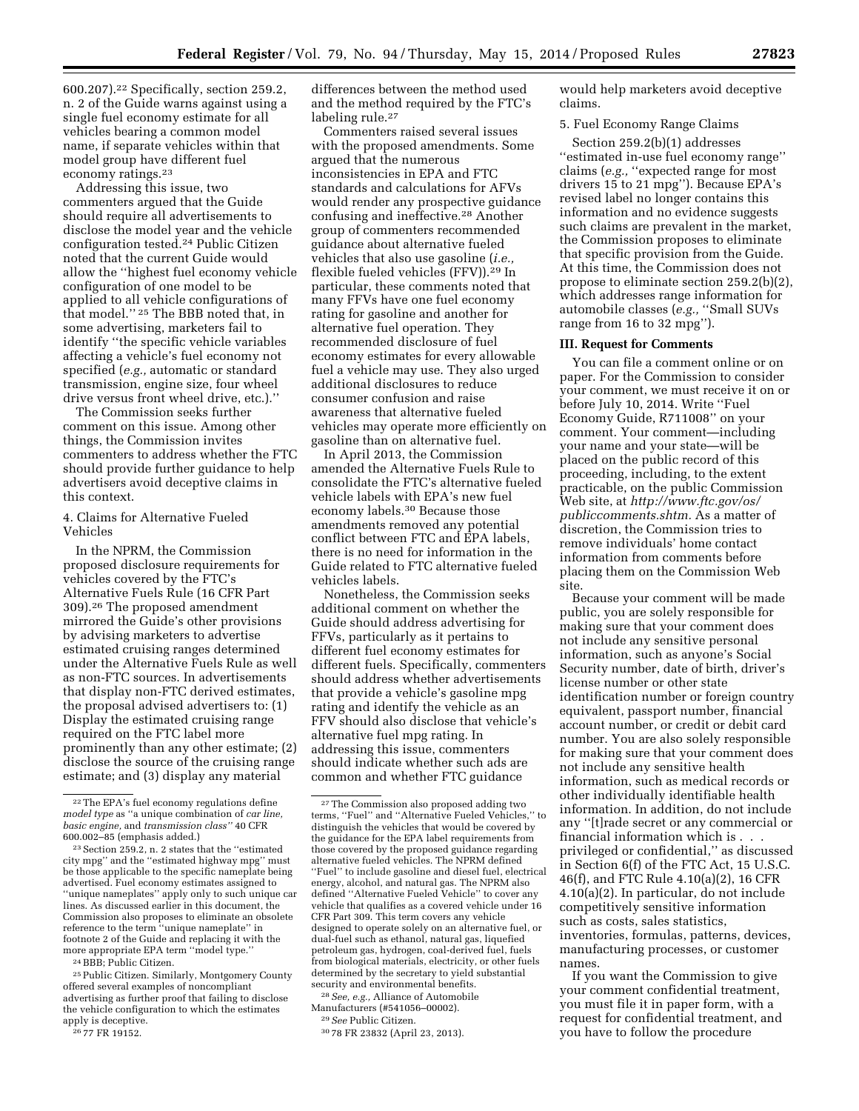600.207).22 Specifically, section 259.2, n. 2 of the Guide warns against using a single fuel economy estimate for all vehicles bearing a common model name, if separate vehicles within that model group have different fuel economy ratings.<sup>23</sup>

Addressing this issue, two commenters argued that the Guide should require all advertisements to disclose the model year and the vehicle configuration tested.24 Public Citizen noted that the current Guide would allow the ''highest fuel economy vehicle configuration of one model to be applied to all vehicle configurations of that model.'' 25 The BBB noted that, in some advertising, marketers fail to identify ''the specific vehicle variables affecting a vehicle's fuel economy not specified (*e.g.,* automatic or standard transmission, engine size, four wheel drive versus front wheel drive, etc.).''

The Commission seeks further comment on this issue. Among other things, the Commission invites commenters to address whether the FTC should provide further guidance to help advertisers avoid deceptive claims in this context.

## 4. Claims for Alternative Fueled Vehicles

In the NPRM, the Commission proposed disclosure requirements for vehicles covered by the FTC's Alternative Fuels Rule (16 CFR Part 309).26 The proposed amendment mirrored the Guide's other provisions by advising marketers to advertise estimated cruising ranges determined under the Alternative Fuels Rule as well as non-FTC sources. In advertisements that display non-FTC derived estimates, the proposal advised advertisers to: (1) Display the estimated cruising range required on the FTC label more prominently than any other estimate; (2) disclose the source of the cruising range estimate; and (3) display any material

24BBB; Public Citizen.

25Public Citizen. Similarly, Montgomery County offered several examples of noncompliant advertising as further proof that failing to disclose the vehicle configuration to which the estimates apply is deceptive.

26 77 FR 19152.

differences between the method used and the method required by the FTC's labeling rule.<sup>27</sup>

Commenters raised several issues with the proposed amendments. Some argued that the numerous inconsistencies in EPA and FTC standards and calculations for AFVs would render any prospective guidance confusing and ineffective.28 Another group of commenters recommended guidance about alternative fueled vehicles that also use gasoline (*i.e.,*  flexible fueled vehicles (FFV)).29 In particular, these comments noted that many FFVs have one fuel economy rating for gasoline and another for alternative fuel operation. They recommended disclosure of fuel economy estimates for every allowable fuel a vehicle may use. They also urged additional disclosures to reduce consumer confusion and raise awareness that alternative fueled vehicles may operate more efficiently on gasoline than on alternative fuel.

In April 2013, the Commission amended the Alternative Fuels Rule to consolidate the FTC's alternative fueled vehicle labels with EPA's new fuel economy labels.30 Because those amendments removed any potential conflict between FTC and EPA labels, there is no need for information in the Guide related to FTC alternative fueled vehicles labels.

Nonetheless, the Commission seeks additional comment on whether the Guide should address advertising for FFVs, particularly as it pertains to different fuel economy estimates for different fuels. Specifically, commenters should address whether advertisements that provide a vehicle's gasoline mpg rating and identify the vehicle as an FFV should also disclose that vehicle's alternative fuel mpg rating. In addressing this issue, commenters should indicate whether such ads are common and whether FTC guidance

28*See, e.g.,* Alliance of Automobile Manufacturers (#541056–00002).

30 78 FR 23832 (April 23, 2013).

would help marketers avoid deceptive claims.

## 5. Fuel Economy Range Claims

Section 259.2(b)(1) addresses ''estimated in-use fuel economy range'' claims (*e.g.,* ''expected range for most drivers 15 to 21 mpg''). Because EPA's revised label no longer contains this information and no evidence suggests such claims are prevalent in the market, the Commission proposes to eliminate that specific provision from the Guide. At this time, the Commission does not propose to eliminate section 259.2(b)(2), which addresses range information for automobile classes (*e.g.,* ''Small SUVs range from 16 to 32 mpg'').

## **III. Request for Comments**

You can file a comment online or on paper. For the Commission to consider your comment, we must receive it on or before July 10, 2014. Write ''Fuel Economy Guide, R711008'' on your comment. Your comment—including your name and your state—will be placed on the public record of this proceeding, including, to the extent practicable, on the public Commission Web site, at *[http://www.ftc.gov/os/](http://www.ftc.gov/os/publiccomments.shtm) [publiccomments.shtm.](http://www.ftc.gov/os/publiccomments.shtm)* As a matter of discretion, the Commission tries to remove individuals' home contact information from comments before placing them on the Commission Web site.

Because your comment will be made public, you are solely responsible for making sure that your comment does not include any sensitive personal information, such as anyone's Social Security number, date of birth, driver's license number or other state identification number or foreign country equivalent, passport number, financial account number, or credit or debit card number. You are also solely responsible for making sure that your comment does not include any sensitive health information, such as medical records or other individually identifiable health information. In addition, do not include any ''[t]rade secret or any commercial or financial information which is . . . privileged or confidential,'' as discussed in Section 6(f) of the FTC Act, 15 U.S.C. 46(f), and FTC Rule 4.10(a)(2), 16 CFR 4.10(a)(2). In particular, do not include competitively sensitive information such as costs, sales statistics, inventories, formulas, patterns, devices, manufacturing processes, or customer names.

If you want the Commission to give your comment confidential treatment, you must file it in paper form, with a request for confidential treatment, and you have to follow the procedure

<sup>22</sup>The EPA's fuel economy regulations define *model type* as ''a unique combination of *car line, basic engine,* and *transmission class''* 40 CFR 600.002–85 (emphasis added.)

 $^{\rm 23}$  Section 259.2, n. 2 states that the ''estimated city mpg'' and the ''estimated highway mpg'' must be those applicable to the specific nameplate being advertised. Fuel economy estimates assigned to ''unique nameplates'' apply only to such unique car lines. As discussed earlier in this document, the Commission also proposes to eliminate an obsolete reference to the term ''unique nameplate'' in footnote 2 of the Guide and replacing it with the more appropriate EPA term ''model type.''

<sup>27</sup>The Commission also proposed adding two terms, ''Fuel'' and ''Alternative Fueled Vehicles,'' to distinguish the vehicles that would be covered by the guidance for the EPA label requirements from those covered by the proposed guidance regarding alternative fueled vehicles. The NPRM defined ''Fuel'' to include gasoline and diesel fuel, electrical energy, alcohol, and natural gas. The NPRM also defined ''Alternative Fueled Vehicle'' to cover any vehicle that qualifies as a covered vehicle under 16 CFR Part 309. This term covers any vehicle designed to operate solely on an alternative fuel, or dual-fuel such as ethanol, natural gas, liquefied petroleum gas, hydrogen, coal-derived fuel, fuels from biological materials, electricity, or other fuels determined by the secretary to yield substantial security and environmental benefits.

<sup>29</sup>*See* Public Citizen.